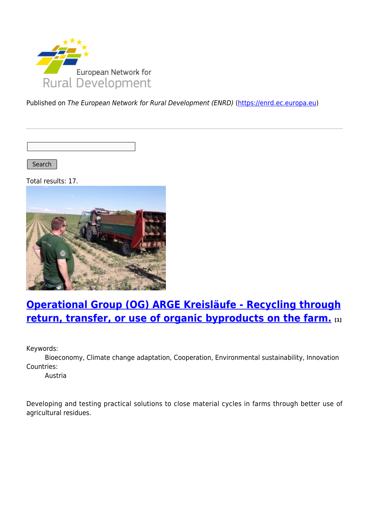

Published on The European Network for Rural Development (ENRD) [\(https://enrd.ec.europa.eu](https://enrd.ec.europa.eu))

Search |

Total results: 17.



## **[Operational Group \(OG\) ARGE Kreisläufe - Recycling through](https://enrd.ec.europa.eu/projects-practice/operational-group-og-arge-kreislaufe-recycling-through-return-transfer-or-use_en) [return, transfer, or use of organic byproducts on the farm.](https://enrd.ec.europa.eu/projects-practice/operational-group-og-arge-kreislaufe-recycling-through-return-transfer-or-use_en) [1]**

Keywords:

Bioeconomy, Climate change adaptation, Cooperation, Environmental sustainability, Innovation Countries:

Austria

Developing and testing practical solutions to close material cycles in farms through better use of agricultural residues.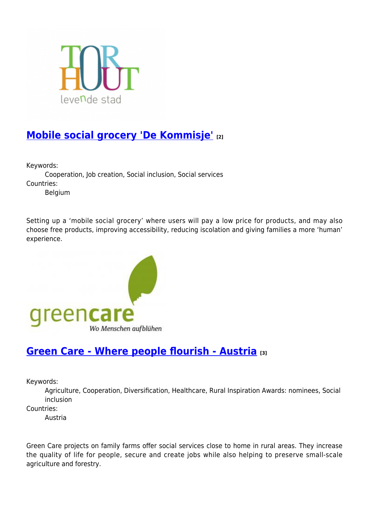

## **[Mobile social grocery 'De Kommisje'](https://enrd.ec.europa.eu/projects-practice/mobile-social-grocery-de-kommisje_en) [2]**

Keywords:

Cooperation, Job creation, Social inclusion, Social services Countries:

Belgium

Setting up a 'mobile social grocery' where users will pay a low price for products, and may also choose free products, improving accessibility, reducing iscolation and giving families a more 'human' experience.



#### **[Green Care - Where people flourish - Austria](https://enrd.ec.europa.eu/projects-practice/green-care-where-people-flourish-austria_en) [3]**

Keywords:

Agriculture, Cooperation, Diversification, Healthcare, Rural Inspiration Awards: nominees, Social inclusion

Countries:

Austria

Green Care projects on family farms offer social services close to home in rural areas. They increase the quality of life for people, secure and create jobs while also helping to preserve small-scale agriculture and forestry.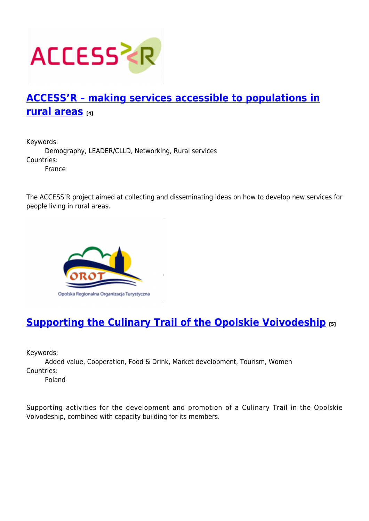

## **[ACCESS'R – making services accessible to populations in](https://enrd.ec.europa.eu/projects-practice/accessr-making-services-accessible-populations-rural-areas_en) [rural areas](https://enrd.ec.europa.eu/projects-practice/accessr-making-services-accessible-populations-rural-areas_en) [4]**

Keywords: Demography, LEADER/CLLD, Networking, Rural services Countries: France

The ACCESS'R project aimed at collecting and disseminating ideas on how to develop new services for people living in rural areas.



## **[Supporting the Culinary Trail of the Opolskie Voivodeship](https://enrd.ec.europa.eu/projects-practice/supporting-culinary-trail-opolskie-voivodeship_en) [5]**

Keywords:

Added value, Cooperation, Food & Drink, Market development, Tourism, Women Countries:

Poland

Supporting activities for the development and promotion of a Culinary Trail in the Opolskie Voivodeship, combined with capacity building for its members.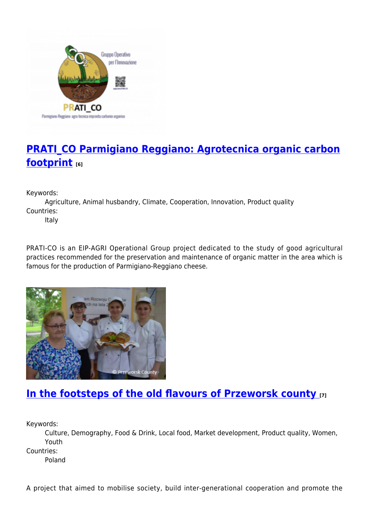

# **[PRATI\\_CO Parmigiano Reggiano: Agrotecnica organic carbon](https://enrd.ec.europa.eu/projects-practice/pratico-parmigiano-reggiano-agrotecnica-organic-carbon-footprint_en) [footprint](https://enrd.ec.europa.eu/projects-practice/pratico-parmigiano-reggiano-agrotecnica-organic-carbon-footprint_en) [6]**

Keywords:

Agriculture, Animal husbandry, Climate, Cooperation, Innovation, Product quality Countries:

Italy

PRATI-CO is an EIP-AGRI Operational Group project dedicated to the study of good agricultural practices recommended for the preservation and maintenance of organic matter in the area which is famous for the production of Parmigiano-Reggiano cheese.



#### **[In the footsteps of the old flavours of Przeworsk county](https://enrd.ec.europa.eu/projects-practice/footsteps-old-flavours-przeworsk-county_en) [7]**

Keywords:

Culture, Demography, Food & Drink, Local food, Market development, Product quality, Women, Youth

Countries:

Poland

A project that aimed to mobilise society, build inter-generational cooperation and promote the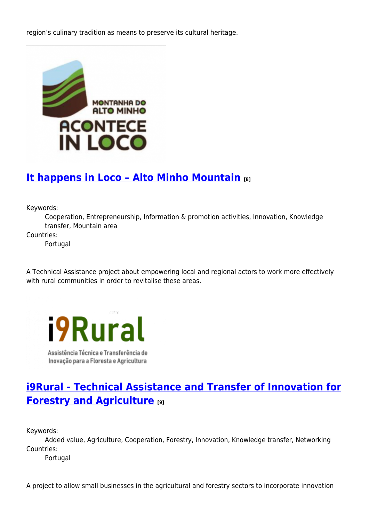region's culinary tradition as means to preserve its cultural heritage.



### **[It happens in Loco – Alto Minho Mountain](https://enrd.ec.europa.eu/projects-practice/it-happens-loco-alto-minho-mountain_en) [8]**

Keywords:

Cooperation, Entrepreneurship, Information & promotion activities, Innovation, Knowledge transfer, Mountain area

Countries:

Portugal

A Technical Assistance project about empowering local and regional actors to work more effectively with rural communities in order to revitalise these areas.



Assistência Técnica e Transferência de Inovação para a Floresta e Agricultura

## **[i9Rural - Technical Assistance and Transfer of Innovation for](https://enrd.ec.europa.eu/projects-practice/i9rural-technical-assistance-and-transfer-innovation-forestry-and-agriculture_en) [Forestry and Agriculture](https://enrd.ec.europa.eu/projects-practice/i9rural-technical-assistance-and-transfer-innovation-forestry-and-agriculture_en) [9]**

Keywords:

Added value, Agriculture, Cooperation, Forestry, Innovation, Knowledge transfer, Networking Countries:

Portugal

A project to allow small businesses in the agricultural and forestry sectors to incorporate innovation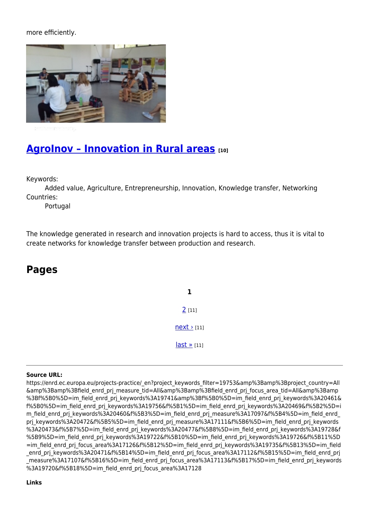more efficiently.



### **[AgroInov – Innovation in Rural areas](https://enrd.ec.europa.eu/projects-practice/agroinov-innovation-rural-areas_en) [10]**

Keywords:

Added value, Agriculture, Entrepreneurship, Innovation, Knowledge transfer, Networking Countries:

Portugal

The knowledge generated in research and innovation projects is hard to access, thus it is vital to create networks for knowledge transfer between production and research.

#### **Pages**

**1**  $2$  [11]  $next$  [11]  $last \times [11]$ 

#### **Source URL:**

https://enrd.ec.europa.eu/projects-practice/\_en?project\_keywords\_filter=19753&amp%3Bamp%3Bproject\_country=All &amp%3Bamp%3Bfield\_enrd\_prj\_measure\_tid=All&amp%3Bamp%3Bfield\_enrd\_prj\_focus\_area\_tid=All&amp%3Bamp %3Bf%5B0%5D=im\_field\_enrd\_prj\_keywords%3A19741&amp%3Bf%5B0%5D=im\_field\_enrd\_prj\_keywords%3A20461& f%5B0%5D=im\_field\_enrd\_prj\_keywords%3A19756&f%5B1%5D=im\_field\_enrd\_prj\_keywords%3A20469&f%5B2%5D=i m\_field\_enrd\_prj\_keywords%3A20460&f%5B3%5D=im\_field\_enrd\_prj\_measure%3A17097&f%5B4%5D=im\_field\_enrd prj keywords%3A20472&f%5B5%5D=im\_field\_enrd\_prj\_measure%3A17111&f%5B6%5D=im\_field\_enrd\_prj\_keywords %3A20473&f%5B7%5D=im\_field\_enrd\_prj\_keywords%3A20477&f%5B8%5D=im\_field\_enrd\_prj\_keywords%3A19728&f %5B9%5D=im\_field\_enrd\_prj\_keywords%3A19722&f%5B10%5D=im\_field\_enrd\_prj\_keywords%3A19726&f%5B11%5D =im\_field\_enrd\_prj\_focus\_area%3A17126&f%5B12%5D=im\_field\_enrd\_prj\_keywords%3A19735&f%5B13%5D=im\_field enrd\_prj\_keywords%3A20471&f%5B14%5D=im\_field\_enrd\_prj\_focus\_area%3A17112&f%5B15%5D=im\_field\_enrd\_prj measure%3A17107&f%5B16%5D=im\_field\_enrd\_prj\_focus\_area%3A17113&f%5B17%5D=im\_field\_enrd\_prj\_keywords %3A19720&f%5B18%5D=im\_field\_enrd\_prj\_focus\_area%3A17128

#### **Links**